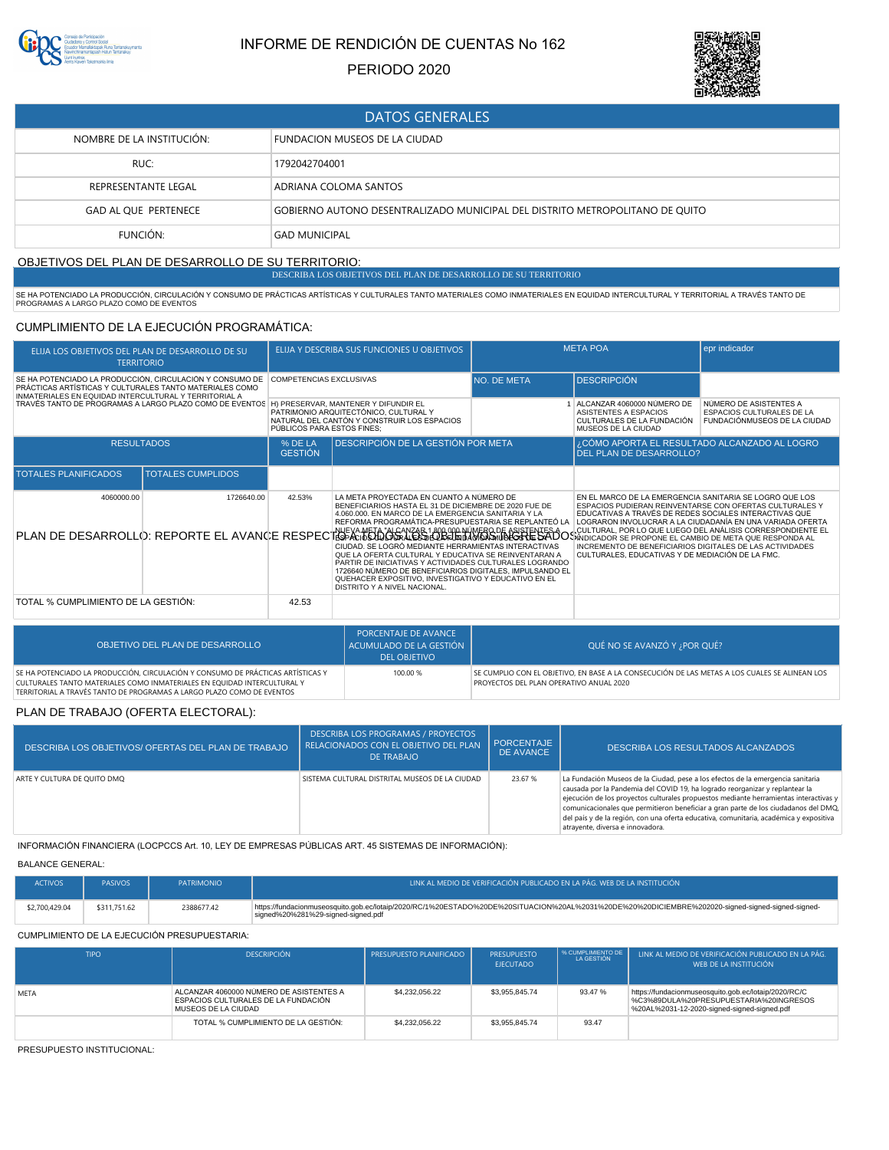

# INFORME DE RENDICIÓN DE CUENTAS No 162

# PERIODO 2020



| <b>DATOS GENERALES</b>      |                                                                              |  |  |  |
|-----------------------------|------------------------------------------------------------------------------|--|--|--|
| NOMBRE DE LA INSTITUCIÓN:   | <b>FUNDACION MUSEOS DE LA CIUDAD</b>                                         |  |  |  |
| RUC:                        | 1792042704001                                                                |  |  |  |
| REPRESENTANTE LEGAL         | ADRIANA COLOMA SANTOS                                                        |  |  |  |
| <b>GAD AL QUE PERTENECE</b> | GOBIERNO AUTONO DESENTRALIZADO MUNICIPAL DEL DISTRITO METROPOLITANO DE QUITO |  |  |  |
| FUNCIÓN:                    | <b>GAD MUNICIPAL</b>                                                         |  |  |  |

OBJETIVOS DEL PLAN DE DESARROLLO DE SU TERRITORIO: DESCRIBA LOS OBJETIVOS DEL PLAN DE DESARROLLO DE SU TERRITORIO

SE HA POTENCIADO LA PRODUCCIÓN, CIRCULACIÓN Y CONSUMO DE PRACTICAS ARTÍSTICAS Y CULTURALES TANTO MATERIALES COMO INMATERIALES EN EQUIDAD INTERCULTURAL Y TERRITORIAL A TRAVES TANTO DE<br>PROGRAMAS A LARGO PLAZO COMO DE EVENTOS

#### CUMPLIMIENTO DE LA EJECUCIÓN PROGRAMÁTICA:

| ELIJA LOS OBJETIVOS DEL PLAN DE DESARROLLO DE SU<br><b>TERRITORIO</b>                                                                                                        |                          | ELIJA Y DESCRIBA SUS FUNCIONES U OBJETIVOS                                                                                                                 |                                                                                                                                                                                                                                                                                                                            | <b>META POA</b>    |                                                                                                                                                                              | epr indicador                                                                       |
|------------------------------------------------------------------------------------------------------------------------------------------------------------------------------|--------------------------|------------------------------------------------------------------------------------------------------------------------------------------------------------|----------------------------------------------------------------------------------------------------------------------------------------------------------------------------------------------------------------------------------------------------------------------------------------------------------------------------|--------------------|------------------------------------------------------------------------------------------------------------------------------------------------------------------------------|-------------------------------------------------------------------------------------|
| SE HA POTENCIADO LA PRODUCCIÓN, CIRCULACIÓN Y CONSUMO DE<br>PRÁCTICAS ARTÍSTICAS Y CULTURALES TANTO MATERIALES COMO<br>INMATERIALES EN EQUIDAD INTERCULTURAL Y TERRITORIAL A |                          | <b>COMPETENCIAS EXCLUSIVAS</b>                                                                                                                             |                                                                                                                                                                                                                                                                                                                            | <b>NO. DE META</b> | <b>DESCRIPCIÓN</b>                                                                                                                                                           |                                                                                     |
| TRAVÉS TANTO DE PROGRAMAS A LARGO PLAZO COMO DE EVENTOS                                                                                                                      |                          | H) PRESERVAR, MANTENER Y DIFUNDIR EL<br>PATRIMONIO ARQUITECTÓNICO, CULTURAL Y<br>NATURAL DEL CANTÓN Y CONSTRUIR LOS ESPACIOS<br>PÚBLICOS PARA ESTOS FINES: |                                                                                                                                                                                                                                                                                                                            |                    | 1 ALCANZAR 4060000 NÚMERO DE<br>ASISTENTES A ESPACIOS<br>CULTURALES DE LA FUNDACIÓN<br>MUSEOS DE LA CIUDAD                                                                   | NÚMERO DE ASISTENTES A<br>ESPACIOS CULTURALES DE LA<br>FUNDACIÓNMUSEOS DE LA CIUDAD |
| <b>RESULTADOS</b>                                                                                                                                                            |                          | % DE LA<br><b>GESTIÓN</b>                                                                                                                                  | <b>DESCRIPCIÓN DE LA GESTIÓN POR META</b>                                                                                                                                                                                                                                                                                  |                    | ¿CÓMO APORTA EL RESULTADO ALCANZADO AL LOGRO<br>DEL PLAN DE DESARROLLO?                                                                                                      |                                                                                     |
| <b>TOTALES PLANIFICADOS</b>                                                                                                                                                  | <b>TOTALES CUMPLIDOS</b> |                                                                                                                                                            |                                                                                                                                                                                                                                                                                                                            |                    |                                                                                                                                                                              |                                                                                     |
| 4060000.00                                                                                                                                                                   | 1726640.00               | 42.53%                                                                                                                                                     | LA META PROYECTADA EN CUANTO A NÚMERO DE<br>BENEFICIARIOS HASTA EL 31 DE DICIEMBRE DE 2020 FUE DE<br>4.060.000, EN MARCO DE LA EMERGENCIA SANITARIA Y LA<br>REFORMA PROGRAMÁTICA-PRESUPUESTARIA SE REPLANTEÓ LA                                                                                                            |                    | EN EL MARCO DE LA EMERGENCIA SANITARIA SE LOGRÓ QUE LOS<br>ESPACIOS PUDIERAN REINVENTARSE CON OFERTAS CULTURALES Y<br>EDUCATIVAS A TRAVÉS DE REDES SOCIALES INTERACTIVAS QUE | LOGRARON INVOLUCRAR A LA CIUDADANÍA EN UNA VARIADA OFERTA                           |
| PLAN DE DESARROLLO: REPORTE EL AVANCE RESPECTER ANTA A PROGRAMARIA ANAREA EN EN ENGLANDO SE PROPONE EL CAMBIO DE ANÁLISIS CORRESPONDIENTE EL                                 |                          |                                                                                                                                                            | CIUDAD. SE LOGRÓ MEDIANTE HERRAMIENTAS INTERACTIVAS<br>QUE LA OFERTA CULTURAL Y EDUCATIVA SE REINVENTARAN A<br>PARTIR DE INICIATIVAS Y ACTIVIDADES CULTURALES LOGRANDO<br>1726640 NÚMERO DE BENEFICIARIOS DIGITALES. IMPULSANDO EL<br>QUEHACER EXPOSITIVO. INVESTIGATIVO Y EDUCATIVO EN EL<br>DISTRITO Y A NIVEL NACIONAL. |                    | INCREMENTO DE BENEFICIARIOS DIGITALES DE LAS ACTIVIDADES<br>CULTURALES. EDUCATIVAS Y DE MEDIACIÓN DE LA FMC.                                                                 |                                                                                     |
| TOTAL % CUMPLIMIENTO DE LA GESTIÓN:                                                                                                                                          |                          | 42.53                                                                                                                                                      |                                                                                                                                                                                                                                                                                                                            |                    |                                                                                                                                                                              |                                                                                     |
|                                                                                                                                                                              |                          |                                                                                                                                                            | DODCENTA IF DE AVIANCE                                                                                                                                                                                                                                                                                                     |                    |                                                                                                                                                                              |                                                                                     |

| OBJETIVO DEL PLAN DE DESARROLLO                                                                                                                                                                                                      | <b>PORCENTAJE DE AVANCE</b><br><b>L</b> ACUMULADO DE LA GESTIÓN<br><b>DEL OBJETIVO</b> | QUÉ NO SE AVANZÓ Y ; POR QUÉ?                                                                                                            |
|--------------------------------------------------------------------------------------------------------------------------------------------------------------------------------------------------------------------------------------|----------------------------------------------------------------------------------------|------------------------------------------------------------------------------------------------------------------------------------------|
| SE HA POTENCIADO LA PRODUCCIÓN, CIRCULACIÓN Y CONSUMO DE PRÁCTICAS ARTÍSTICAS Y<br>CULTURALES TANTO MATERIALES COMO INMATERIALES EN EOUIDAD INTERCULTURAL Y<br>TERRITORIAL A TRAVÉS TANTO DE PROGRAMAS A LARGO PLAZO COMO DE EVENTOS | 100.00 %                                                                               | SE CUMPLIO CON EL OBJETIVO, EN BASE A LA CONSECUCIÓN DE LAS METAS A LOS CUALES SE ALINEAN LOS<br>PROYECTOS DEL PLAN OPERATIVO ANUAL 2020 |

#### PLAN DE TRABAJO (OFERTA ELECTORAL):

| DESCRIBA LOS OBJETIVOS/ OFERTAS DEL PLAN DE TRABAJO | DESCRIBA LOS PROGRAMAS / PROYECTOS<br>RELACIONADOS CON EL OBJETIVO DEL PLAN<br><b>DE TRABAJO</b> | <b>PORCENTAJE</b><br>DE AVANCE | <b>DESCRIBA LOS RESULTADOS ALCANZADOS</b>                                                                                                                                                                                                                                                                                                                                                                                                                                     |
|-----------------------------------------------------|--------------------------------------------------------------------------------------------------|--------------------------------|-------------------------------------------------------------------------------------------------------------------------------------------------------------------------------------------------------------------------------------------------------------------------------------------------------------------------------------------------------------------------------------------------------------------------------------------------------------------------------|
| ARTE Y CULTURA DE OUITO DMO                         | SISTEMA CULTURAL DISTRITAL MUSEOS DE LA CIUDAD                                                   | 23.67 %                        | La Fundación Museos de la Ciudad, pese a los efectos de la emergencia sanitaria<br>causada por la Pandemia del COVID 19, ha logrado reorganizar y replantear la<br>ejecución de los proyectos culturales propuestos mediante herramientas interactivas y<br>comunicacionales que permitieron beneficiar a gran parte de los ciudadanos del DMQ,<br>del país y de la región, con una oferta educativa, comunitaria, académica y expositiva<br>atrayente, diversa e innovadora. |

INFORMACIÓN FINANCIERA (LOCPCCS Art. 10, LEY DE EMPRESAS PÚBLICAS ART. 45 SISTEMAS DE INFORMACIÓN):

BALANCE GENERAL:

| <b>ACTIVOS</b> | <b>PASIVOS</b> | <b>PATRIMONIO</b> | LINK AL MEDIO DE VERIFICACIÓN PUBLICADO EN LA PÁG. WEB DE LA INSTITUCIÓN                                                                                                                      |
|----------------|----------------|-------------------|-----------------------------------------------------------------------------------------------------------------------------------------------------------------------------------------------|
| \$2,700,429.04 | \$311,751.62   | 2388677.42        | https://fundacionmuseosquito.gob.ec/lotaip/2020/RC/1%20ESTADO%20DE%20SITUACION%20AL%2031%20DE%20%20DICIEMBRE%202020-signed-signed-signed-signed-signed-<br>signed%20%281%29-signed-signed.pdf |

#### CUMPLIMIENTO DE LA EJECUCIÓN PRESUPUESTARIA:

| <b>TIPO</b> | <b>DESCRIPCIÓN</b>                                                                                    | <b>PRESUPUESTO PLANIFICADO</b> | <b>PRESUPUESTO</b><br><b>EJECUTADO</b> | % CUMPLIMIENTO DE<br>LA GESTIÓN | LINK AL MEDIO DE VERIFICACIÓN PUBLICADO EN LA PÁG.<br>WEB DE LA INSTITUCIÓN                                                                   |
|-------------|-------------------------------------------------------------------------------------------------------|--------------------------------|----------------------------------------|---------------------------------|-----------------------------------------------------------------------------------------------------------------------------------------------|
| <b>META</b> | ALCANZAR 4060000 NÚMERO DE ASISTENTES A<br>ESPACIOS CULTURALES DE LA FUNDACIÓN<br>MUSEOS DE LA CIUDAD | \$4.232.056.22                 | \$3,955,845.74                         | 93.47 %                         | https://fundacionmuseosquito.gob.ec/lotaip/2020/RC/C<br>%C3%89DULA%20PRESUPUESTARIA%20INGRESOS<br>%20AL%2031-12-2020-signed-signed-signed.pdf |
|             | TOTAL % CUMPLIMIENTO DE LA GESTIÓN:                                                                   | \$4.232.056.22                 | \$3,955,845.74                         | 93.47                           |                                                                                                                                               |

PRESUPUESTO INSTITUCIONAL: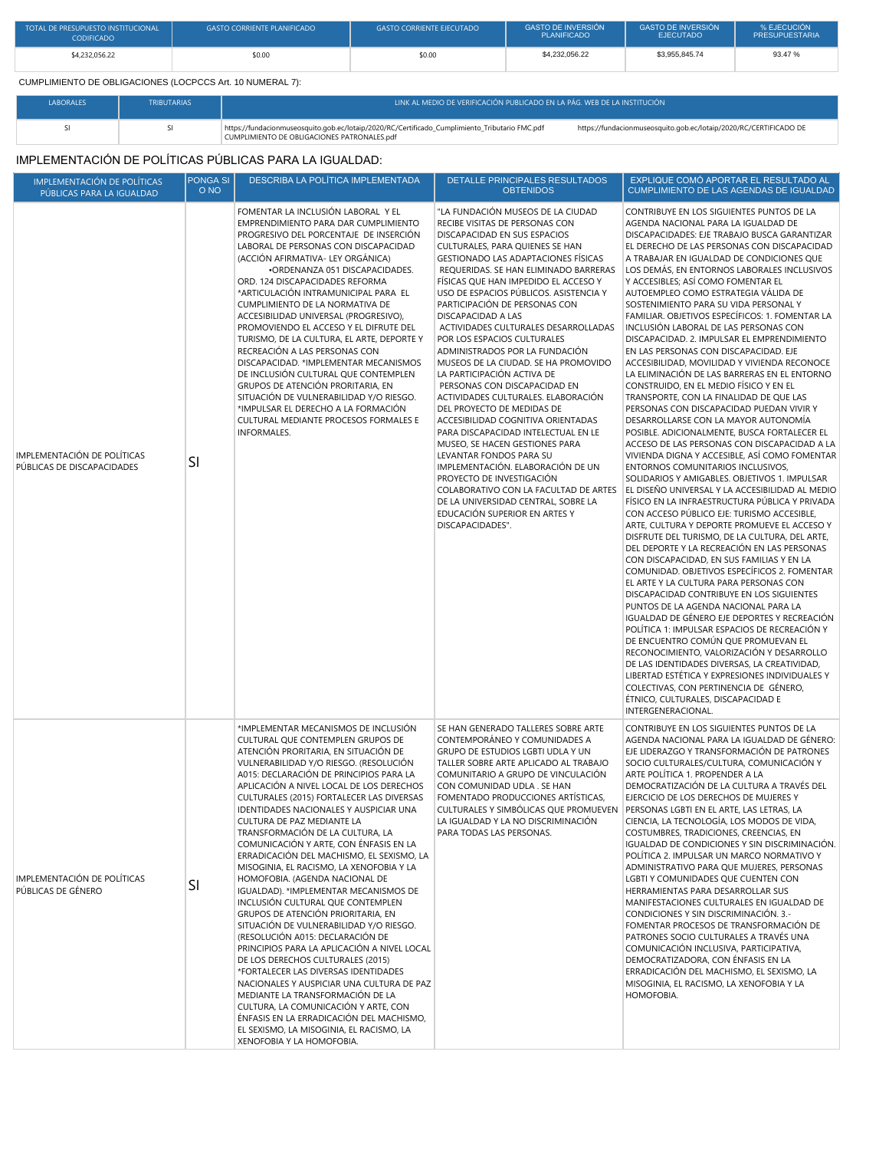| TOTAL DE PRESUPUESTO INSTITUCIONAL<br><b>CODIFICADO</b> | <b>GASTO CORRIENTE PLANIFICADO</b> | <b>GASTO CORRIENTE EJECUTADO</b> | <b>GASTO DE INVERSIÓN</b><br><b>PLANIFICADO</b> | <b>GASTO DE INVERSIÓN</b><br><b>EJECUTADO</b> | % EJECUCIÓN<br><b>PRESUPUESTARIA</b> |
|---------------------------------------------------------|------------------------------------|----------------------------------|-------------------------------------------------|-----------------------------------------------|--------------------------------------|
| \$4,232,056.22                                          | \$0.00                             | \$0.00                           | \$4,232,056.22                                  | \$3,955,845.74                                | 93.47%                               |

## CUMPLIMIENTO DE OBLIGACIONES (LOCPCCS Art. 10 NUMERAL 7):

| <b>LABORALES</b> | <b>TRIBUTARIAS</b> | LINK AL MEDIO DE VERIFICACIÓN PUBLICADO EN LA PÁG. WEB DE LA INSTITUCIÓN                                                                      |                                                                   |  |  |
|------------------|--------------------|-----------------------------------------------------------------------------------------------------------------------------------------------|-------------------------------------------------------------------|--|--|
|                  |                    | https://fundacionmuseosquito.gob.ec/lotaip/2020/RC/Certificado Cumplimiento Tributario FMC.pdf<br>CUMPLIMIENTO DE OBLIGACIONES PATRONALES.pdf | https://fundacionmuseosquito.gob.ec/lotaip/2020/RC/CERTIFICADO DE |  |  |

# IMPLEMENTACIÓN DE POLÍTICAS PÚBLICAS PARA LA IGUALDAD:

| IMPLEMENTACIÓN DE POLÍTICAS<br>PÚBLICAS PARA LA IGUALDAD  | <b>PONGA SI</b><br>O NO | DESCRIBA LA POLÍTICA IMPLEMENTADA                                                                                                                                                                                                                                                                                                                                                                                                                                                                                                                                                                                                                                                                                                                                                                                                                                                                                                                                                                                                                                                                                                                                    | DETALLE PRINCIPALES RESULTADOS<br><b>OBTENIDOS</b>                                                                                                                                                                                                                                                                                                                                                                                                                                                                                                                                                                                                                                                                                                                                                                                                                                                                                                                                                   | EXPLIQUE COMÓ APORTAR EL RESULTADO AL<br><b>CUMPLIMIENTO DE LAS AGENDAS DE IGUALDAD</b>                                                                                                                                                                                                                                                                                                                                                                                                                                                                                                                                                                                                                                                                                                                                                                                                                                                                                                                                                                                                                                                                                                                                                                                                                                                                                                                                                                                                                                                                                                                                                                                                                                                                                                                                                                                                                                                                                                                                             |
|-----------------------------------------------------------|-------------------------|----------------------------------------------------------------------------------------------------------------------------------------------------------------------------------------------------------------------------------------------------------------------------------------------------------------------------------------------------------------------------------------------------------------------------------------------------------------------------------------------------------------------------------------------------------------------------------------------------------------------------------------------------------------------------------------------------------------------------------------------------------------------------------------------------------------------------------------------------------------------------------------------------------------------------------------------------------------------------------------------------------------------------------------------------------------------------------------------------------------------------------------------------------------------|------------------------------------------------------------------------------------------------------------------------------------------------------------------------------------------------------------------------------------------------------------------------------------------------------------------------------------------------------------------------------------------------------------------------------------------------------------------------------------------------------------------------------------------------------------------------------------------------------------------------------------------------------------------------------------------------------------------------------------------------------------------------------------------------------------------------------------------------------------------------------------------------------------------------------------------------------------------------------------------------------|-------------------------------------------------------------------------------------------------------------------------------------------------------------------------------------------------------------------------------------------------------------------------------------------------------------------------------------------------------------------------------------------------------------------------------------------------------------------------------------------------------------------------------------------------------------------------------------------------------------------------------------------------------------------------------------------------------------------------------------------------------------------------------------------------------------------------------------------------------------------------------------------------------------------------------------------------------------------------------------------------------------------------------------------------------------------------------------------------------------------------------------------------------------------------------------------------------------------------------------------------------------------------------------------------------------------------------------------------------------------------------------------------------------------------------------------------------------------------------------------------------------------------------------------------------------------------------------------------------------------------------------------------------------------------------------------------------------------------------------------------------------------------------------------------------------------------------------------------------------------------------------------------------------------------------------------------------------------------------------------------------------------------------------|
| IMPLEMENTACIÓN DE POLÍTICAS<br>PÚBLICAS DE DISCAPACIDADES | <b>SI</b>               | FOMENTAR LA INCLUSIÓN LABORAL Y EL<br>EMPRENDIMIENTO PARA DAR CUMPLIMIENTO<br>PROGRESIVO DEL PORCENTAJE DE INSERCIÓN<br>LABORAL DE PERSONAS CON DISCAPACIDAD<br>(ACCIÓN AFIRMATIVA- LEY ORGÁNICA)<br>•ORDENANZA 051 DISCAPACIDADES.<br>ORD. 124 DISCAPACIDADES REFORMA<br>*ARTICULACIÓN INTRAMUNICIPAL PARA EL<br>CUMPLIMIENTO DE LA NORMATIVA DE<br>ACCESIBILIDAD UNIVERSAL (PROGRESIVO),<br>PROMOVIENDO EL ACCESO Y EL DIFRUTE DEL<br>TURISMO, DE LA CULTURA, EL ARTE, DEPORTE Y<br>RECREACIÓN A LAS PERSONAS CON<br>DISCAPACIDAD. * IMPLEMENTAR MECANISMOS<br>DE INCLUSIÓN CULTURAL QUE CONTEMPLEN<br>GRUPOS DE ATENCIÓN PRORITARIA, EN<br>SITUACIÓN DE VULNERABILIDAD Y/O RIESGO.<br>*IMPULSAR EL DERECHO A LA FORMACIÓN<br>CULTURAL MEDIANTE PROCESOS FORMALES E<br><b>INFORMALES.</b>                                                                                                                                                                                                                                                                                                                                                                          | "LA FUNDACIÓN MUSEOS DE LA CIUDAD<br>RECIBE VISITAS DE PERSONAS CON<br>DISCAPACIDAD EN SUS ESPACIOS<br>CULTURALES, PARA QUIENES SE HAN<br>GESTIONADO LAS ADAPTACIONES FÍSICAS<br>REQUERIDAS. SE HAN ELIMINADO BARRERAS<br>FÍSICAS QUE HAN IMPEDIDO EL ACCESO Y<br>USO DE ESPACIOS PÚBLICOS. ASISTENCIA Y<br>PARTICIPACIÓN DE PERSONAS CON<br>DISCAPACIDAD A LAS<br>ACTIVIDADES CULTURALES DESARROLLADAS<br>POR LOS ESPACIOS CULTURALES<br>ADMINISTRADOS POR LA FUNDACIÓN<br>MUSEOS DE LA CIUDAD. SE HA PROMOVIDO<br>LA PARTICIPACIÓN ACTIVA DE<br>PERSONAS CON DISCAPACIDAD EN<br>ACTIVIDADES CULTURALES. ELABORACIÓN<br>DEL PROYECTO DE MEDIDAS DE<br>ACCESIBILIDAD COGNITIVA ORIENTADAS<br>PARA DISCAPACIDAD INTELECTUAL EN LE<br>MUSEO, SE HACEN GESTIONES PARA<br>LEVANTAR FONDOS PARA SU<br>IMPLEMENTACIÓN. ELABORACIÓN DE UN<br>PROYECTO DE INVESTIGACIÓN<br>COLABORATIVO CON LA FACULTAD DE ARTES<br>DE LA UNIVERSIDAD CENTRAL, SOBRE LA<br>EDUCACIÓN SUPERIOR EN ARTES Y<br>DISCAPACIDADES". | CONTRIBUYE EN LOS SIGUIENTES PUNTOS DE LA<br>AGENDA NACIONAL PARA LA IGUALDAD DE<br>DISCAPACIDADES: EJE TRABAJO BUSCA GARANTIZAR<br>EL DERECHO DE LAS PERSONAS CON DISCAPACIDAD<br>A TRABAJAR EN IGUALDAD DE CONDICIONES QUE<br>LOS DEMÁS, EN ENTORNOS LABORALES INCLUSIVOS<br>Y ACCESIBLES; ASÍ COMO FOMENTAR EL<br>AUTOEMPLEO COMO ESTRATEGIA VÁLIDA DE<br>SOSTENIMIENTO PARA SU VIDA PERSONAL Y<br>FAMILIAR. OBJETIVOS ESPECÍFICOS: 1. FOMENTAR LA<br>INCLUSIÓN LABORAL DE LAS PERSONAS CON<br>DISCAPACIDAD. 2. IMPULSAR EL EMPRENDIMIENTO<br>EN LAS PERSONAS CON DISCAPACIDAD. EJE<br>ACCESIBILIDAD, MOVILIDAD Y VIVIENDA RECONOCE<br>LA ELIMINACIÓN DE LAS BARRERAS EN EL ENTORNO<br>CONSTRUIDO, EN EL MEDIO FÍSICO Y EN EL<br>TRANSPORTE, CON LA FINALIDAD DE QUE LAS<br>PERSONAS CON DISCAPACIDAD PUEDAN VIVIR Y<br>DESARROLLARSE CON LA MAYOR AUTONOMÍA<br>POSIBLE. ADICIONALMENTE, BUSCA FORTALECER EL<br>ACCESO DE LAS PERSONAS CON DISCAPACIDAD A LA<br>VIVIENDA DIGNA Y ACCESIBLE, ASÍ COMO FOMENTAR<br>ENTORNOS COMUNITARIOS INCLUSIVOS,<br>SOLIDARIOS Y AMIGABLES, OBJETIVOS 1, IMPULSAR<br>EL DISEÑO UNIVERSAL Y LA ACCESIBILIDAD AL MEDIO<br>FÍSICO EN LA INFRAESTRUCTURA PÚBLICA Y PRIVADA<br>CON ACCESO PÚBLICO EJE: TURISMO ACCESIBLE,<br>ARTE, CULTURA Y DEPORTE PROMUEVE EL ACCESO Y<br>DISFRUTE DEL TURISMO, DE LA CULTURA, DEL ARTE,<br>DEL DEPORTE Y LA RECREACIÓN EN LAS PERSONAS<br>CON DISCAPACIDAD, EN SUS FAMILIAS Y EN LA<br>COMUNIDAD. OBJETIVOS ESPECÍFICOS 2. FOMENTAR<br>EL ARTE Y LA CULTURA PARA PERSONAS CON<br>DISCAPACIDAD CONTRIBUYE EN LOS SIGUIENTES<br>PUNTOS DE LA AGENDA NACIONAL PARA LA<br>IGUALDAD DE GÉNERO EJE DEPORTES Y RECREACIÓN<br>POLÍTICA 1: IMPULSAR ESPACIOS DE RECREACIÓN Y<br>DE ENCUENTRO COMÚN QUE PROMUEVAN EL<br>RECONOCIMIENTO, VALORIZACIÓN Y DESARROLLO<br>DE LAS IDENTIDADES DIVERSAS, LA CREATIVIDAD,<br>LIBERTAD ESTÉTICA Y EXPRESIONES INDIVIDUALES Y<br>COLECTIVAS, CON PERTINENCIA DE GÉNERO,<br>ÉTNICO, CULTURALES, DISCAPACIDAD E<br>INTERGENERACIONAL. |
| IMPLEMENTACIÓN DE POLÍTICAS<br>PÚBLICAS DE GÉNERO         | SI                      | *IMPLEMENTAR MECANISMOS DE INCLUSIÓN<br>CULTURAL QUE CONTEMPLEN GRUPOS DE<br>ATENCIÓN PRORITARIA, EN SITUACIÓN DE<br>VULNERABILIDAD Y/O RIESGO. (RESOLUCIÓN<br>A015: DECLARACIÓN DE PRINCIPIOS PARA LA<br>APLICACIÓN A NIVEL LOCAL DE LOS DERECHOS<br>CULTURALES (2015) FORTALECER LAS DIVERSAS<br><b>IDENTIDADES NACIONALES Y AUSPICIAR UNA</b><br>CULTURA DE PAZ MEDIANTE LA<br>TRANSFORMACIÓN DE LA CULTURA, LA<br>COMUNICACIÓN Y ARTE, CON ÉNFASIS EN LA<br>ERRADICACIÓN DEL MACHISMO, EL SEXISMO, LA<br>MISOGINIA, EL RACISMO, LA XENOFOBIA Y LA<br>HOMOFOBIA. (AGENDA NACIONAL DE<br>IGUALDAD). *IMPLEMENTAR MECANISMOS DE<br>INCLUSIÓN CULTURAL QUE CONTEMPLEN<br>GRUPOS DE ATENCIÓN PRIORITARIA, EN<br>SITUACIÓN DE VULNERABILIDAD Y/O RIESGO.<br>(RESOLUCIÓN A015: DECLARACIÓN DE<br>PRINCIPIOS PARA LA APLICACIÓN A NIVEL LOCAL<br>DE LOS DERECHOS CULTURALES (2015)<br>*FORTALECER LAS DIVERSAS IDENTIDADES<br>NACIONALES Y AUSPICIAR UNA CULTURA DE PAZ<br>MEDIANTE LA TRANSFORMACIÓN DE LA<br>CULTURA, LA COMUNICACIÓN Y ARTE, CON<br>ÉNFASIS EN LA ERRADICACIÓN DEL MACHISMO,<br>EL SEXISMO, LA MISOGINIA, EL RACISMO, LA<br>XENOFOBIA Y LA HOMOFOBIA. | SE HAN GENERADO TALLERES SOBRE ARTE<br>CONTEMPORÁNEO Y COMUNIDADES A<br>GRUPO DE ESTUDIOS LGBTI UDLA Y UN<br>TALLER SOBRE ARTE APLICADO AL TRABAJO<br>COMUNITARIO A GRUPO DE VINCULACIÓN<br>CON COMUNIDAD UDLA . SE HAN<br>FOMENTADO PRODUCCIONES ARTÍSTICAS,<br>CULTURALES Y SIMBÓLICAS QUE PROMUEVEN PERSONAS LGBTI EN EL ARTE, LAS LETRAS, LA<br>LA IGUALDAD Y LA NO DISCRIMINACIÓN<br>PARA TODAS LAS PERSONAS.                                                                                                                                                                                                                                                                                                                                                                                                                                                                                                                                                                                   | CONTRIBUYE EN LOS SIGUIENTES PUNTOS DE LA<br>AGENDA NACIONAL PARA LA IGUALDAD DE GÉNERO:<br>EJE LIDERAZGO Y TRANSFORMACIÓN DE PATRONES<br>SOCIO CULTURALES/CULTURA, COMUNICACIÓN Y<br>ARTE POLÍTICA 1. PROPENDER A LA<br>DEMOCRATIZACIÓN DE LA CULTURA A TRAVÉS DEL<br>EJERCICIO DE LOS DERECHOS DE MUJERES Y<br>CIENCIA, LA TECNOLOGÍA, LOS MODOS DE VIDA,<br>COSTUMBRES, TRADICIONES, CREENCIAS, EN<br>IGUALDAD DE CONDICIONES Y SIN DISCRIMINACIÓN.<br>POLÍTICA 2. IMPULSAR UN MARCO NORMATIVO Y<br>ADMINISTRATIVO PARA QUE MUJERES, PERSONAS<br>LGBTI Y COMUNIDADES QUE CUENTEN CON<br>HERRAMIENTAS PARA DESARROLLAR SUS<br>MANIFESTACIONES CULTURALES EN IGUALDAD DE<br>CONDICIONES Y SIN DISCRIMINACIÓN. 3.-<br>FOMENTAR PROCESOS DE TRANSFORMACIÓN DE<br>PATRONES SOCIO CULTURALES A TRAVÉS UNA<br>COMUNICACIÓN INCLUSIVA, PARTICIPATIVA,<br>DEMOCRATIZADORA, CON ÉNFASIS EN LA<br>ERRADICACIÓN DEL MACHISMO, EL SEXISMO, LA<br>MISOGINIA, EL RACISMO, LA XENOFOBIA Y LA<br>HOMOFOBIA.                                                                                                                                                                                                                                                                                                                                                                                                                                                                                                                                                                                                                                                                                                                                                                                                                                                                                                                                                                                                                                       |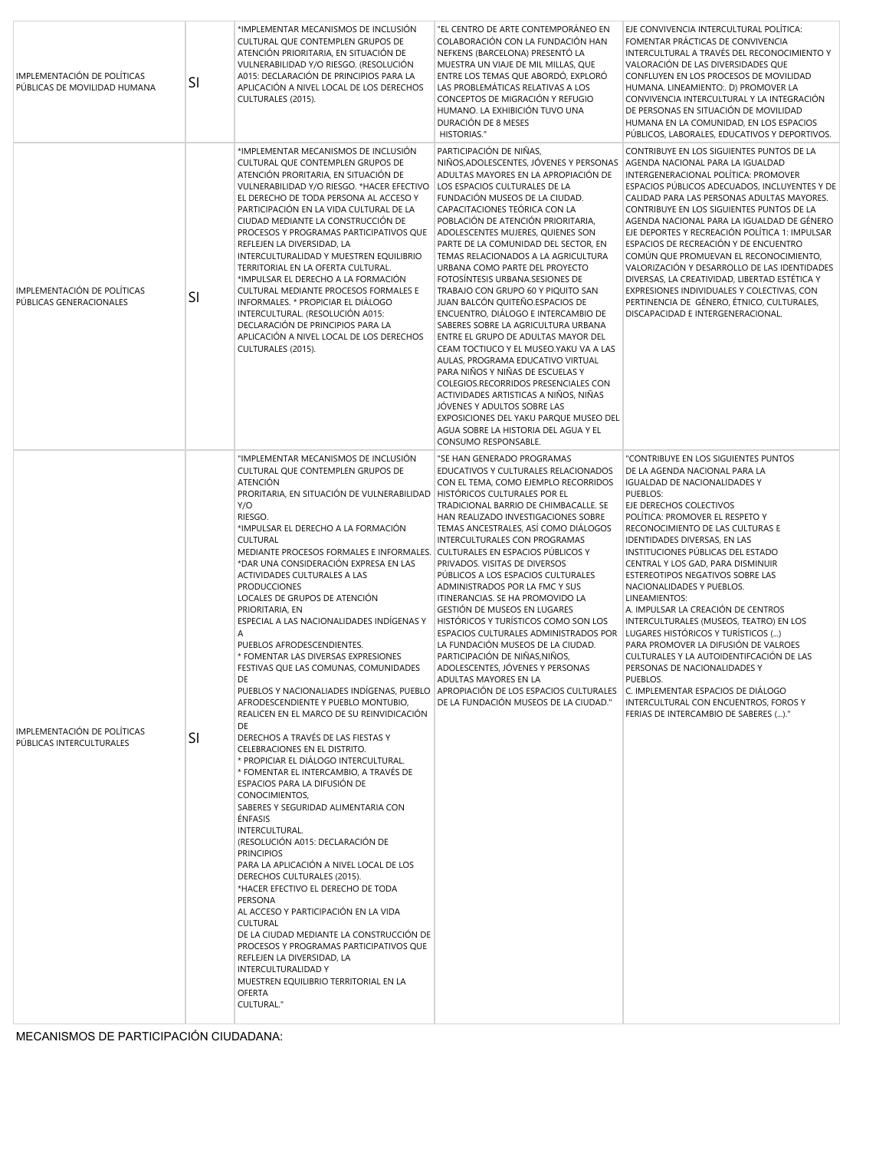| IMPLEMENTACIÓN DE POLÍTICAS<br>PUBLICAS DE MOVILIDAD HUMANA                                                                                                                                                                                                                          | SI | *IMPLEMENTAR MECANISMOS DE INCLUSIÓN<br>CULTURAL QUE CONTEMPLEN GRUPOS DE<br>ATENCIÓN PRIORITARIA, EN SITUACIÓN DE<br>VULNERABILIDAD Y/O RIESGO. (RESOLUCIÓN<br>A015: DECLARACIÓN DE PRINCIPIOS PARA LA<br>APLICACIÓN A NIVEL LOCAL DE LOS DERECHOS<br>CULTURALES (2015).                                                                                                                                                                                                                                                                                                                                                                                                                                                                                                                                                                                                                                                                                                                                                                                                                                                                                                                                                                                                                                            | "EL CENTRO DE ARTE CONTEMPORÁNEO EN<br>COLABORACIÓN CON LA FUNDACIÓN HAN<br>NEFKENS (BARCELONA) PRESENTÓ LA<br>MUESTRA UN VIAJE DE MIL MILLAS, QUE<br>ENTRE LOS TEMAS QUE ABORDÓ, EXPLORÓ<br>LAS PROBLEMÁTICAS RELATIVAS A LOS<br>CONCEPTOS DE MIGRACIÓN Y REFUGIO<br>HUMANO. LA EXHIBICIÓN TUVO UNA<br>DURACIÓN DE 8 MESES<br>HISTORIAS."                                                                                                                                                                                                                                                                                                                                                                                                                                                                                                                                                                                                                                               | EJE CONVIVENCIA INTERCULTURAL POLÍTICA:<br>FOMENTAR PRÁCTICAS DE CONVIVENCIA<br>INTERCULTURAL A TRAVÉS DEL RECONOCIMIENTO Y<br>VALORACIÓN DE LAS DIVERSIDADES QUE<br>CONFLUYEN EN LOS PROCESOS DE MOVILIDAD<br>HUMANA. LINEAMIENTO:. D) PROMOVER LA<br>CONVIVENCIA INTERCULTURAL Y LA INTEGRACIÓN<br>DE PERSONAS EN SITUACIÓN DE MOVILIDAD<br>HUMANA EN LA COMUNIDAD, EN LOS ESPACIOS<br>PÚBLICOS, LABORALES, EDUCATIVOS Y DEPORTIVOS.                                                                                                                                                                                                                                                                                                                                                         |
|--------------------------------------------------------------------------------------------------------------------------------------------------------------------------------------------------------------------------------------------------------------------------------------|----|----------------------------------------------------------------------------------------------------------------------------------------------------------------------------------------------------------------------------------------------------------------------------------------------------------------------------------------------------------------------------------------------------------------------------------------------------------------------------------------------------------------------------------------------------------------------------------------------------------------------------------------------------------------------------------------------------------------------------------------------------------------------------------------------------------------------------------------------------------------------------------------------------------------------------------------------------------------------------------------------------------------------------------------------------------------------------------------------------------------------------------------------------------------------------------------------------------------------------------------------------------------------------------------------------------------------|------------------------------------------------------------------------------------------------------------------------------------------------------------------------------------------------------------------------------------------------------------------------------------------------------------------------------------------------------------------------------------------------------------------------------------------------------------------------------------------------------------------------------------------------------------------------------------------------------------------------------------------------------------------------------------------------------------------------------------------------------------------------------------------------------------------------------------------------------------------------------------------------------------------------------------------------------------------------------------------|------------------------------------------------------------------------------------------------------------------------------------------------------------------------------------------------------------------------------------------------------------------------------------------------------------------------------------------------------------------------------------------------------------------------------------------------------------------------------------------------------------------------------------------------------------------------------------------------------------------------------------------------------------------------------------------------------------------------------------------------------------------------------------------------|
| IMPLEMENTACIÓN DE POLÍTICAS<br>PÚBLICAS GENERACIONALES                                                                                                                                                                                                                               | SI | *IMPLEMENTAR MECANISMOS DE INCLUSIÓN<br>CULTURAL QUE CONTEMPLEN GRUPOS DE<br>ATENCIÓN PRORITARIA. EN SITUACIÓN DE<br>VULNERABILIDAD Y/O RIESGO. * HACER EFECTIVO<br>EL DERECHO DE TODA PERSONA AL ACCESO Y<br>PARTICIPACIÓN EN LA VIDA CULTURAL DE LA<br>CIUDAD MEDIANTE LA CONSTRUCCIÓN DE<br>PROCESOS Y PROGRAMAS PARTICIPATIVOS QUE<br>REFLEJEN LA DIVERSIDAD, LA<br>INTERCULTURALIDAD Y MUESTREN EQUILIBRIO<br>TERRITORIAL EN LA OFERTA CULTURAL.<br>*IMPULSAR EL DERECHO A LA FORMACIÓN<br>CULTURAL MEDIANTE PROCESOS FORMALES E<br>INFORMALES. * PROPICIAR EL DIÁLOGO<br>INTERCULTURAL. (RESOLUCIÓN A015:<br>DECLARACIÓN DE PRINCIPIOS PARA LA<br>APLICACIÓN A NIVEL LOCAL DE LOS DERECHOS<br>CULTURALES (2015).                                                                                                                                                                                                                                                                                                                                                                                                                                                                                                                                                                                               | PARTICIPACIÓN DE NIÑAS,<br>NIÑOS, ADOLESCENTES, JÓVENES Y PERSONAS<br>ADULTAS MAYORES EN LA APROPIACIÓN DE<br>LOS ESPACIOS CULTURALES DE LA<br>FUNDACIÓN MUSEOS DE LA CIUDAD.<br>CAPACITACIONES TEÓRICA CON LA<br>POBLACIÓN DE ATENCIÓN PRIORITARIA,<br>ADOLESCENTES MUJERES, QUIENES SON<br>PARTE DE LA COMUNIDAD DEL SECTOR, EN<br>TEMAS RELACIONADOS A LA AGRICULTURA<br>URBANA COMO PARTE DEL PROYECTO<br>FOTOSÍNTESIS URBANA.SESIONES DE<br>TRABAJO CON GRUPO 60 Y PIQUITO SAN<br>JUAN BALCÓN QUITEÑO.ESPACIOS DE<br>ENCUENTRO, DIÁLOGO E INTERCAMBIO DE<br>SABERES SOBRE LA AGRICULTURA URBANA<br>ENTRE EL GRUPO DE ADULTAS MAYOR DEL<br>CEAM TOCTIUCO Y EL MUSEO.YAKU VA A LAS<br>AULAS, PROGRAMA EDUCATIVO VIRTUAL<br>PARA NIÑOS Y NIÑAS DE ESCUELAS Y<br>COLEGIOS.RECORRIDOS PRESENCIALES CON<br>ACTIVIDADES ARTISTICAS A NIÑOS, NIÑAS<br>JÓVENES Y ADULTOS SOBRE LAS<br>EXPOSICIONES DEL YAKU PARQUE MUSEO DEL<br>AGUA SOBRE LA HISTORIA DEL AGUA Y EL<br>CONSUMO RESPONSABLE. | CONTRIBUYE EN LOS SIGUIENTES PUNTOS DE LA<br>AGENDA NACIONAL PARA LA IGUALDAD<br>INTERGENERACIONAL POLÍTICA: PROMOVER<br>ESPACIOS PÚBLICOS ADECUADOS, INCLUYENTES Y DE<br>CALIDAD PARA LAS PERSONAS ADULTAS MAYORES.<br>CONTRIBUYE EN LOS SIGUIENTES PUNTOS DE LA<br>AGENDA NACIONAL PARA LA IGUALDAD DE GÉNERO<br>EJE DEPORTES Y RECREACIÓN POLÍTICA 1: IMPULSAR<br>ESPACIOS DE RECREACIÓN Y DE ENCUENTRO<br>COMÚN QUE PROMUEVAN EL RECONOCIMIENTO,<br>VALORIZACIÓN Y DESARROLLO DE LAS IDENTIDADES<br>DIVERSAS, LA CREATIVIDAD, LIBERTAD ESTÉTICA Y<br>EXPRESIONES INDIVIDUALES Y COLECTIVAS, CON<br>PERTINENCIA DE GÉNERO, ÉTNICO, CULTURALES,<br>DISCAPACIDAD E INTERGENERACIONAL.                                                                                                         |
| ATENCIÓN<br>Y/O<br>RIESGO.<br>CULTURAL<br><b>PRODUCCIONES</b><br>PRIORITARIA, EN<br>Α<br>DE<br>DE<br>IMPLEMENTACIÓN DE POLÍTICAS<br>SI<br>PÚBLICAS INTERCULTURALES<br>CONOCIMIENTOS,<br>ÉNFASIS<br>INTERCULTURAL.<br><b>PRINCIPIOS</b><br>PERSONA<br>CULTURAL<br>INTERCULTURALIDAD Y |    | "IMPLEMENTAR MECANISMOS DE INCLUSIÓN<br>CULTURAL QUE CONTEMPLEN GRUPOS DE<br>PRORITARIA, EN SITUACIÓN DE VULNERABILIDAD<br>*IMPULSAR EL DERECHO A LA FORMACIÓN<br>MEDIANTE PROCESOS FORMALES E INFORMALES. CULTURALES EN ESPACIOS PÚBLICOS Y<br>*DAR UNA CONSIDERACIÓN EXPRESA EN LAS<br>ACTIVIDADES CULTURALES A LAS<br>LOCALES DE GRUPOS DE ATENCIÓN<br>ESPECIAL A LAS NACIONALIDADES INDÍGENAS Y<br>PUEBLOS AFRODESCENDIENTES.<br>* FOMENTAR LAS DIVERSAS EXPRESIONES<br>FESTIVAS QUE LAS COMUNAS, COMUNIDADES<br>PUEBLOS Y NACIONALIADES INDÍGENAS. PUEBLO LAPROPIACIÓN DE LOS ESPACIOS CULTURALES<br>AFRODESCENDIENTE Y PUEBLO MONTUBIO.<br>REALICEN EN EL MARCO DE SU REINVIDICACIÓN<br>DERECHOS A TRAVÉS DE LAS FIESTAS Y<br>CELEBRACIONES EN EL DISTRITO.<br>* PROPICIAR EL DIÁLOGO INTERCULTURAL.<br>* FOMENTAR EL INTERCAMBIO, A TRAVÉS DE<br>ESPACIOS PARA LA DIFUSIÓN DE<br>SABERES Y SEGURIDAD ALIMENTARIA CON<br>(RESOLUCIÓN A015: DECLARACIÓN DE<br>PARA LA APLICACIÓN A NIVEL LOCAL DE LOS<br>DERECHOS CULTURALES (2015).<br>*HACER EFECTIVO EL DERECHO DE TODA<br>AL ACCESO Y PARTICIPACIÓN EN LA VIDA<br>DE LA CIUDAD MEDIANTE LA CONSTRUCCIÓN DE<br>PROCESOS Y PROGRAMAS PARTICIPATIVOS QUE<br>REFLEJEN LA DIVERSIDAD, LA<br>MUESTREN EQUILIBRIO TERRITORIAL EN LA<br><b>OFERTA</b><br>CULTURAL." | "SE HAN GENERADO PROGRAMAS<br>EDUCATIVOS Y CULTURALES RELACIONADOS<br>CON EL TEMA, COMO EJEMPLO RECORRIDOS<br>HISTÓRICOS CULTURALES POR EL<br>TRADICIONAL BARRIO DE CHIMBACALLE. SE<br>HAN REALIZADO INVESTIGACIONES SOBRE<br>TEMAS ANCESTRALES, ASÍ COMO DIÁLOGOS<br>INTERCULTURALES CON PROGRAMAS<br>PRIVADOS. VISITAS DE DIVERSOS<br>PÚBLICOS A LOS ESPACIOS CULTURALES<br>ADMINISTRADOS POR LA FMC Y SUS<br>ITINERANCIAS. SE HA PROMOVIDO LA<br>GESTIÓN DE MUSEOS EN LUGARES<br>HISTÓRICOS Y TURÍSTICOS COMO SON LOS<br>ESPACIOS CULTURALES ADMINISTRADOS POR<br>LA FUNDACIÓN MUSEOS DE LA CIUDAD.<br>PARTICIPACIÓN DE NIÑAS, NIÑOS,<br>ADOLESCENTES, JÓVENES Y PERSONAS<br>ADULTAS MAYORES EN LA<br>DE LA FUNDACIÓN MUSEOS DE LA CIUDAD."                                                                                                                                                                                                                                           | "CONTRIBUYE EN LOS SIGUIENTES PUNTOS<br>DE LA AGENDA NACIONAL PARA LA<br>IGUALDAD DE NACIONALIDADES Y<br>PUEBLOS:<br>EJE DERECHOS COLECTIVOS<br>POLÍTICA: PROMOVER EL RESPETO Y<br>RECONOCIMIENTO DE LAS CULTURAS E<br>IDENTIDADES DIVERSAS, EN LAS<br>INSTITUCIONES PÚBLICAS DEL ESTADO<br>CENTRAL Y LOS GAD, PARA DISMINUIR<br>ESTEREOTIPOS NEGATIVOS SOBRE LAS<br>NACIONALIDADES Y PUEBLOS.<br>LINEAMIENTOS:<br>A. IMPULSAR LA CREACIÓN DE CENTROS<br>INTERCULTURALES (MUSEOS, TEATRO) EN LOS<br>LUGARES HISTÓRICOS Y TURÍSTICOS ()<br>PARA PROMOVER LA DIFUSIÓN DE VALROES<br>CULTURALES Y LA AUTOIDENTIFCACIÓN DE LAS<br>PERSONAS DE NACIONALIDADES Y<br>PUEBLOS.<br>C. IMPLEMENTAR ESPACIOS DE DIÁLOGO<br>INTERCULTURAL CON ENCUENTROS, FOROS Y<br>FERIAS DE INTERCAMBIO DE SABERES ()." |

MECANISMOS DE PARTICIPACIÓN CIUDADANA: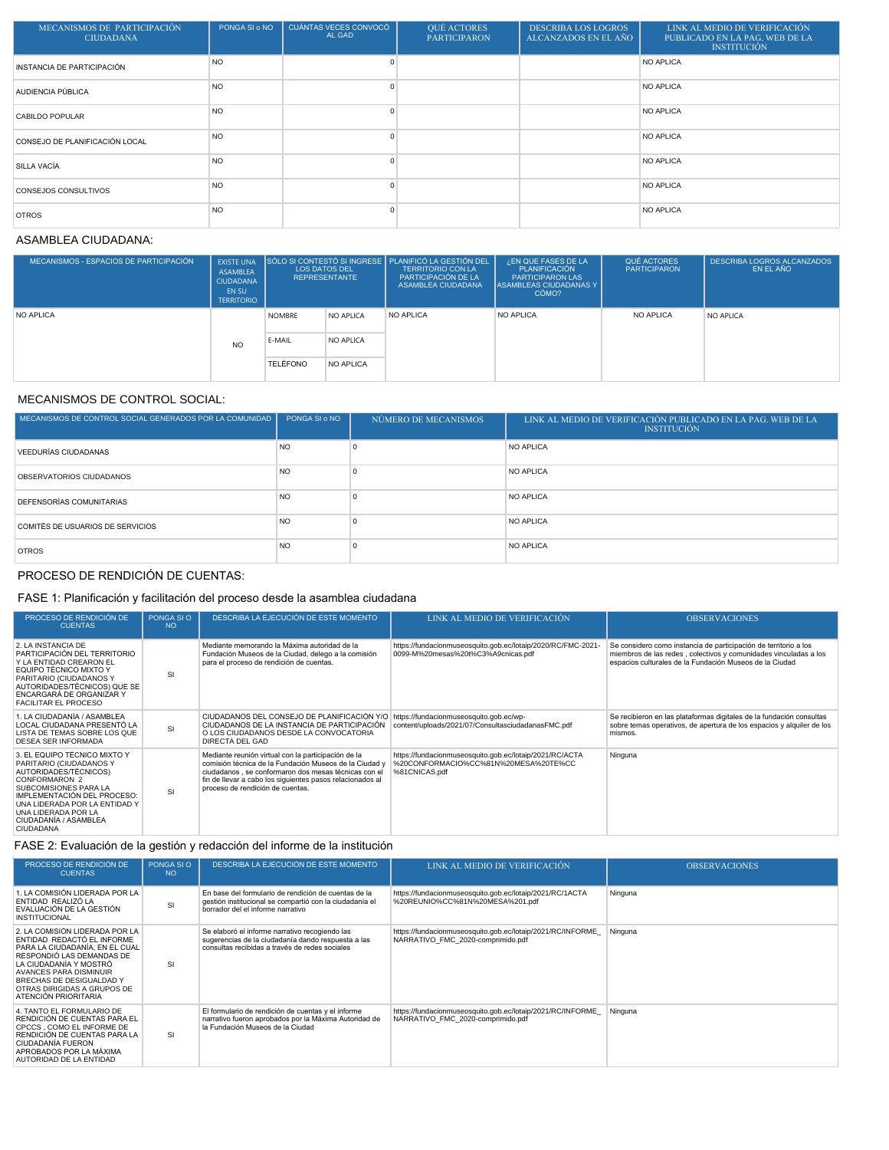| MECANISMOS DE PARTICIPACIÓN<br><b>CIUDADANA</b> | PONGA SI o NO | CUÁNTAS VECES CONVOCÓ<br>AL GAD | QUÉ ACTORES<br><b>PARTICIPARON</b> | <b>DESCRIBA LOS LOGROS</b><br>ALCANZADOS EN EL AÑO | LINK AL MEDIO DE VERIFICACIÓN<br>PUBLICADO EN LA PAG. WEB DE LA<br><b>INSTITUCIÓN</b> |
|-------------------------------------------------|---------------|---------------------------------|------------------------------------|----------------------------------------------------|---------------------------------------------------------------------------------------|
| INSTANCIA DE PARTICIPACIÓN                      | <b>NO</b>     |                                 |                                    |                                                    | <b>NO APLICA</b>                                                                      |
| AUDIENCIA PÚBLICA                               | <b>NO</b>     | $\Omega$                        |                                    |                                                    | <b>NO APLICA</b>                                                                      |
| CABILDO POPULAR                                 | <b>NO</b>     | $\Omega$                        |                                    |                                                    | <b>NO APLICA</b>                                                                      |
| CONSEJO DE PLANIFICACIÓN LOCAL                  | <b>NO</b>     | $\Omega$                        |                                    |                                                    | <b>NO APLICA</b>                                                                      |
| SILLA VACÍA                                     | <b>NO</b>     | $\Omega$                        |                                    |                                                    | <b>NO APLICA</b>                                                                      |
| CONSEJOS CONSULTIVOS                            | <b>NO</b>     | $\Omega$                        |                                    |                                                    | <b>NO APLICA</b>                                                                      |
| <b>OTROS</b>                                    | <b>NO</b>     | $\Omega$                        |                                    |                                                    | <b>NO APLICA</b>                                                                      |

# ASAMBLEA CIUDADANA:

| MECANISMOS - ESPACIOS DE PARTICIPACIÓN | <b>EXISTE UNA</b><br>ASAMBLEA<br><b>CIUDADANA</b><br>EN SU<br><b>TERRITORIO</b> | <b>LOS DATOS DEL</b> | <b>REPRESENTANTE</b> | SÓLO SI CONTESTÓ SI INGRESE PLANIFICÓ LA GESTIÓN DEL<br><b>TERRITORIO CON LA</b><br>PARTICIPACIÓN DE LA<br>ASAMBLEA CIUDADANA | ¿EN QUE FASES DE LA<br>PLANIFICACIÓN<br><b>PARTICIPARON LAS</b><br><b>ASAMBLEAS CIUDADANAS Y</b><br>CÓMO? | QUÉ ACTORES<br><b>PARTICIPARON</b> | <b>DESCRIBA LOGROS ALCANZADOS</b><br>EN EL AÑO |
|----------------------------------------|---------------------------------------------------------------------------------|----------------------|----------------------|-------------------------------------------------------------------------------------------------------------------------------|-----------------------------------------------------------------------------------------------------------|------------------------------------|------------------------------------------------|
| NO APLICA                              | <b>NO</b>                                                                       | <b>NOMBRE</b>        | NO APLICA            | NO APLICA                                                                                                                     | <b>NO APLICA</b>                                                                                          | <b>NO APLICA</b>                   | NO APLICA                                      |
|                                        |                                                                                 | E-MAIL               | NO APLICA            |                                                                                                                               |                                                                                                           |                                    |                                                |
|                                        |                                                                                 | <b>TELÉFONO</b>      | NO APLICA            |                                                                                                                               |                                                                                                           |                                    |                                                |

# MECANISMOS DE CONTROL SOCIAL:

| MECANISMOS DE CONTROL SOCIAL GENERADOS POR LA COMUNIDAD | PONGA SI o NO | NÚMERO DE MECANISMOS | LINK AL MEDIO DE VERIFICACIÓN PUBLICADO EN LA PAG. WEB DE LA<br><b>INSTITUCIÓN</b> |
|---------------------------------------------------------|---------------|----------------------|------------------------------------------------------------------------------------|
| VEEDURÍAS CIUDADANAS                                    | <b>NO</b>     |                      | <b>NO APLICA</b>                                                                   |
| OBSERVATORIOS CIUDADANOS                                | <b>NO</b>     |                      | NO APLICA                                                                          |
| <b>DEFENSORÍAS COMUNITARIAS</b>                         | <b>NO</b>     |                      | NO APLICA                                                                          |
| COMITÉS DE USUARIOS DE SERVICIOS                        | <b>NO</b>     |                      | NO APLICA                                                                          |
| <b>OTROS</b>                                            | <b>NO</b>     |                      | NO APLICA                                                                          |

# PROCESO DE RENDICIÓN DE CUENTAS:

## FASE 1: Planificación y facilitación del proceso desde la asamblea ciudadana

| PROCESO DE RENDICIÓN DE<br><b>CUENTAS</b>                                                                                                                                                                                                                      | PONGA SI O<br><b>NO</b> | DESCRIBA LA EJECUCIÓN DE ESTE MOMENTO                                                                                                                                                                                                                                  | LINK AL MEDIO DE VERIFICACIÓN                                                                                    | <b>OBSERVACIONES</b>                                                                                                                                                                            |
|----------------------------------------------------------------------------------------------------------------------------------------------------------------------------------------------------------------------------------------------------------------|-------------------------|------------------------------------------------------------------------------------------------------------------------------------------------------------------------------------------------------------------------------------------------------------------------|------------------------------------------------------------------------------------------------------------------|-------------------------------------------------------------------------------------------------------------------------------------------------------------------------------------------------|
| 2. LA INSTANCIA DE<br>PARTICIPACIÓN DEL TERRITORIO<br>Y LA ENTIDAD CREARON EL<br>EQUIPO TÉCNICO MIXTO Y<br>PARITARIO (CIUDADANOS Y<br>AUTORIDADES/TÉCNICOS) QUE SE<br>ENCARGARÁ DE ORGANIZAR Y<br><b>FACILITAR EL PROCESO</b>                                  | SI                      | Mediante memorando la Máxima autoridad de la<br>Fundación Museos de la Ciudad, delego a la comisión<br>para el proceso de rendición de cuentas.                                                                                                                        | https://fundacionmuseosquito.gob.ec/lotaip/2020/RC/FMC-2021-<br>0099-M%20mesas%20t%C3%A9cnicas.pdf               | Se considero como instancia de participación de territorio a los<br>miembros de las redes, colectivos y comunidades vinculadas a los<br>espacios culturales de la Fundación Museos de la Ciudad |
| 1. LA CIUDADANÍA / ASAMBLEA<br>LOCAL CIUDADANA PRESENTÓ LA<br>LISTA DE TEMAS SOBRE LOS QUE<br><b>DESEA SER INFORMADA</b>                                                                                                                                       | SI                      | CIUDADANOS DEL CONSEJO DE PLANIFICACIÓN Y/O<br>CIUDADANOS DE LA INSTANCIA DE PARTICIPACIÓN<br>O LOS CIUDADANOS DESDE LA CONVOCATORIA<br><b>DIRECTA DEL GAD</b>                                                                                                         | https://fundacionmuseosquito.gob.ec/wp-<br>content/uploads/2021/07/ConsultasciudadanasFMC.pdf                    | Se recibieron en las plataformas digitales de la fundación consultas<br>sobre temas operativos, de apertura de los espacios y alquiler de los<br>mismos.                                        |
| 3. EL EQUIPO TÉCNICO MIXTO Y<br>PARITARIO (CIUDADANOS Y<br>AUTORIDADES/TÉCNICOS)<br>CONFORMARON 2<br>SUBCOMISIONES PARA LA<br>IMPLEMENTACIÓN DEL PROCESO:<br>UNA LIDERADA POR LA ENTIDAD Y<br>UNA LIDERADA POR LA<br>CIUDADANÍA / ASAMBLEA<br><b>CIUDADANA</b> | SI                      | Mediante reunión virtual con la participación de la<br>comisión técnica de la Fundación Museos de la Ciudad v<br>ciudadanos, se conformaron dos mesas técnicas con el<br>fin de llevar a cabo los siguientes pasos relacionados al<br>proceso de rendición de cuentas. | https://fundacionmuseosquito.gob.ec/lotaip/2021/RC/ACTA<br>%20CONFORMACIO%CC%81N%20MESA%20TE%CC<br>%81CNICAS.pdf | Ninguna                                                                                                                                                                                         |

## FASE 2: Evaluación de la gestión y redacción del informe de la institución

| PROCESO DE RENDICIÓN DE<br><b>CUENTAS</b>                                                                                                                                                                                                                          | PONGA SI O<br><b>NO</b> | DESCRIBA LA EJECUCIÓN DE ESTE MOMENTO                                                                                                                  | LINK AL MEDIO DE VERIFICACIÓN                                                                   | <b>OBSERVACIONES</b> |
|--------------------------------------------------------------------------------------------------------------------------------------------------------------------------------------------------------------------------------------------------------------------|-------------------------|--------------------------------------------------------------------------------------------------------------------------------------------------------|-------------------------------------------------------------------------------------------------|----------------------|
| LA COMISIÓN LIDERADA POR LA<br>ENTIDAD REALIZÓ LA<br>EVALUACIÓN DE LA GESTIÓN<br><b>INSTITUCIONAL</b>                                                                                                                                                              | SI                      | En base del formulario de rendición de cuentas de la<br>gestión institucional se compartió con la ciudadanía el<br>borrador del el informe narrativo   | https://fundacionmuseosquito.gob.ec/lotaip/2021/RC/1ACTA<br>%20REUNIO%CC%81N%20MESA%201.pdf     | Ninguna              |
| 2. LA COMISIÓN LIDERADA POR LA<br>ENTIDAD REDACTÓ EL INFORME<br>PARA LA CIUDADANÍA. EN EL CUAL<br>RESPONDIÓ LAS DEMANDAS DE<br>LA CIUDADANÍA Y MOSTRÓ<br>AVANCES PARA DISMINUIR<br>BRECHAS DE DESIGUALDAD Y<br>OTRAS DIRIGIDAS A GRUPOS DE<br>ATENCIÓN PRIORITARIA | SI                      | Se elaboró el informe narrativo recogiendo las<br>sugerencias de la ciudadanía dando respuesta a las<br>consultas recibidas a través de redes sociales | https://fundacionmuseosquito.gob.ec/lotaip/2021/RC/INFORME<br>NARRATIVO FMC 2020-comprimido.pdf | Ninguna              |
| 4. TANTO EL FORMULARIO DE<br>RENDICIÓN DE CUENTAS PARA EL<br>CPCCS, COMO EL INFORME DE<br>RENDICIÓN DE CUENTAS PARA LA<br>CIUDADANÍA FUERON<br>APROBADOS POR LA MÁXIMA<br>AUTORIDAD DE LA ENTIDAD                                                                  | <b>SI</b>               | El formulario de rendición de cuentas y el informe<br>narrativo fueron aprobados por la Máxima Autoridad de<br>la Fundación Museos de la Ciudad        | https://fundacionmuseosquito.gob.ec/lotaip/2021/RC/INFORME<br>NARRATIVO FMC 2020-comprimido.pdf | Ninguna              |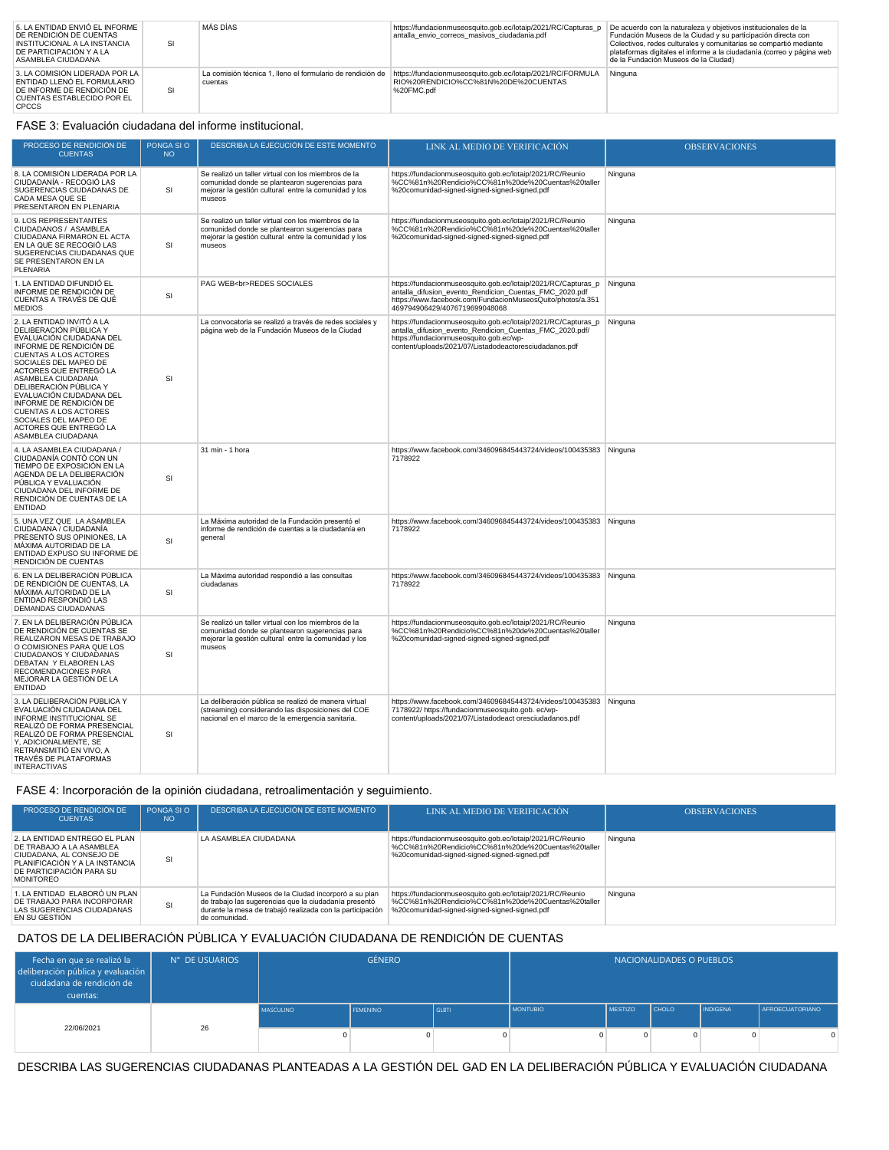| 5. LA ENTIDAD ENVIÓ EL INFORME<br>DE RENDICIÓN DE CUENTAS<br>INSTITUCIONAL A LA INSTANCIA<br>DE PARTICIPACIÓN Y A LA<br>ASAMBLEA CIUDADANA | SI | MÁS DÍAS | https://fundacionmuseosquito.gob.ec/lotaip/2021/RC/Capturas p<br>antalla envio correos masivos ciudadania.pdf                                                               | De acuerdo con la naturaleza y objetivos institucionales de la<br>Fundación Museos de la Ciudad y su participación directa con<br>Colectivos, redes culturales y comunitarias se compartió mediante<br>plataformas digitales el informe a la ciudadanía.(correo y página web<br>de la Fundación Museos de la Ciudad) |
|--------------------------------------------------------------------------------------------------------------------------------------------|----|----------|-----------------------------------------------------------------------------------------------------------------------------------------------------------------------------|----------------------------------------------------------------------------------------------------------------------------------------------------------------------------------------------------------------------------------------------------------------------------------------------------------------------|
| 3. LA COMISIÓN LIDERADA POR LA<br>ENTIDAD LLENÓ EL FORMULARIO<br>DE INFORME DE RENDICIÓN DE<br>CUENTAS ESTABLECIDO POR EL<br>CPCCS         | SI | cuentas  | La comisión técnica 1, lleno el formulario de rendición de https://fundacionmuseosquito.gob.ec/lotaip/2021/RC/FORMULA<br>RIO%20RENDICIO%CC%81N%20DE%20CUENTAS<br>%20FMC.pdf | Ninguna                                                                                                                                                                                                                                                                                                              |

# FASE 3: Evaluación ciudadana del informe institucional.

| PROCESO DE RENDICIÓN DE<br><b>CUENTAS</b>                                                                                                                                                                                                                                                                                                                                                                     | PONGA SI O<br><b>NO</b> | DESCRIBA LA EJECUCIÓN DE ESTE MOMENTO                                                                                                                                   | LINK AL MEDIO DE VERIFICACIÓN                                                                                                                                                                                                 | <b>OBSERVACIONES</b> |
|---------------------------------------------------------------------------------------------------------------------------------------------------------------------------------------------------------------------------------------------------------------------------------------------------------------------------------------------------------------------------------------------------------------|-------------------------|-------------------------------------------------------------------------------------------------------------------------------------------------------------------------|-------------------------------------------------------------------------------------------------------------------------------------------------------------------------------------------------------------------------------|----------------------|
| 8. LA COMISIÓN LIDERADA POR LA<br>CIUDADANÍA - RECOGIÓ LAS<br>SUGERENCIAS CIUDADANAS DE<br>CADA MESA QUE SE<br>PRESENTARON EN PLENARIA                                                                                                                                                                                                                                                                        | SI                      | Se realizó un taller virtual con los miembros de la<br>comunidad donde se plantearon sugerencias para<br>mejorar la gestión cultural entre la comunidad y los<br>museos | https://fundacionmuseosquito.gob.ec/lotaip/2021/RC/Reunio<br>%CC%81n%20Rendicio%CC%81n%20de%20Cuentas%20taller<br>%20comunidad-signed-signed-signed-signed.pdf                                                                | Ninguna              |
| 9. LOS REPRESENTANTES<br>CIUDADANOS / ASAMBLEA<br>CIUDADANA FIRMARON EL ACTA<br>EN LA QUE SE RECOGIÓ LAS<br>SUGERENCIAS CIUDADANAS QUE<br>SE PRESENTARON EN LA<br><b>PLENARIA</b>                                                                                                                                                                                                                             | SI                      | Se realizó un taller virtual con los miembros de la<br>comunidad donde se plantearon sugerencias para<br>mejorar la gestión cultural entre la comunidad y los<br>museos | https://fundacionmuseosquito.gob.ec/lotaip/2021/RC/Reunio<br>%CC%81n%20Rendicio%CC%81n%20de%20Cuentas%20taller<br>%20comunidad-signed-signed-signed-signed.pdf                                                                | Ninguna              |
| 1. LA ENTIDAD DIFUNDIÓ EL<br>INFORME DE RENDICIÓN DE<br>CUENTAS A TRAVÉS DE QUÉ<br><b>MEDIOS</b>                                                                                                                                                                                                                                                                                                              | <b>SI</b>               | PAG WEB<br>kbr>REDES SOCIALES                                                                                                                                           | https://fundacionmuseosquito.gob.ec/lotaip/2021/RC/Capturas p<br>antalla difusion evento Rendicion Cuentas FMC 2020.pdf<br>https://www.facebook.com/FundacionMuseosQuito/photos/a.351<br>469794906429/4076719699048068        | Ninguna              |
| 2. LA ENTIDAD INVITÓ A LA<br>DELIBERACIÓN PÚBLICA Y<br>EVALUACIÓN CIUDADANA DEL<br>INFORME DE RENDICIÓN DE<br><b>CUENTAS A LOS ACTORES</b><br>SOCIALES DEL MAPEO DE<br>ACTORES QUE ENTREGÓ LA<br>ASAMBLEA CIUDADANA<br>DELIBERACIÓN PÚBLICA Y<br>EVALUACIÓN CIUDADANA DEL<br>INFORME DE RENDICIÓN DE<br><b>CUENTAS A LOS ACTORES</b><br>SOCIALES DEL MAPEO DE<br>ACTORES QUE ENTREGÓ LA<br>ASAMBLEA CIUDADANA | SI                      | La convocatoria se realizó a través de redes sociales y<br>página web de la Fundación Museos de la Ciudad                                                               | https://fundacionmuseosquito.gob.ec/lotaip/2021/RC/Capturas_p<br>antalla_difusion_evento_Rendicion_Cuentas_FMC_2020.pdf/<br>https://fundacionmuseosquito.gob.ec/wp-<br>content/uploads/2021/07/Listadodeactoresciudadanos.pdf | Ninguna              |
| 4. LA ASAMBLEA CIUDADANA /<br>CIUDADANÍA CONTÓ CON UN<br>TIEMPO DE EXPOSICIÓN EN LA<br>AGENDA DE LA DELIBERACIÓN<br>PÚBLICA Y EVALUACIÓN<br>CIUDADANA DEL INFORME DE<br>RENDICIÓN DE CUENTAS DE LA<br><b>ENTIDAD</b>                                                                                                                                                                                          | <b>SI</b>               | 31 min - 1 hora                                                                                                                                                         | https://www.facebook.com/346096845443724/videos/100435383 Ninguna<br>7178922                                                                                                                                                  |                      |
| 5. UNA VEZ QUE LA ASAMBLEA<br>CIUDADANA / CIUDADANÍA<br>PRESENTÓ SUS OPINIONES, LA<br>MÁXIMA AUTORIDAD DE LA<br>ENTIDAD EXPUSO SU INFORME DE<br>RENDICIÓN DE CUENTAS                                                                                                                                                                                                                                          | SI                      | La Máxima autoridad de la Fundación presentó el<br>informe de rendición de cuentas a la ciudadanía en<br>general                                                        | https://www.facebook.com/346096845443724/videos/100435383 Ninguna<br>7178922                                                                                                                                                  |                      |
| 6. EN LA DELIBERACIÓN PÚBLICA<br>DE RENDICIÓN DE CUENTAS, LA<br>MÁXIMA AUTORIDAD DE LA<br>ENTIDAD RESPONDIÓ LAS<br>DEMANDAS CIUDADANAS                                                                                                                                                                                                                                                                        | <b>SI</b>               | La Máxima autoridad respondió a las consultas<br>ciudadanas                                                                                                             | https://www.facebook.com/346096845443724/videos/100435383<br>7178922                                                                                                                                                          | Ninguna              |
| 7. EN LA DELIBERACIÓN PÚBLICA<br>DE RENDICIÓN DE CUENTAS SE<br>REALIZARON MESAS DE TRABAJO<br>O COMISIONES PARA QUE LOS<br>CIUDADANOS Y CIUDADANAS<br>DEBATAN Y ELABOREN LAS<br>RECOMENDACIONES PARA<br>MEJORAR LA GESTIÓN DE LA<br><b>ENTIDAD</b>                                                                                                                                                            | SI                      | Se realizó un taller virtual con los miembros de la<br>comunidad donde se plantearon sugerencias para<br>mejorar la gestión cultural entre la comunidad y los<br>museos | https://fundacionmuseosquito.gob.ec/lotaip/2021/RC/Reunio<br>%CC%81n%20Rendicio%CC%81n%20de%20Cuentas%20taller<br>%20comunidad-signed-signed-signed-signed.pdf                                                                | Ninguna              |
| 3. LA DELIBERACIÓN PÚBLICA Y<br>EVALUACIÓN CIUDADANA DEL<br><b>INFORME INSTITUCIONAL SE</b><br>REALIZÓ DE FORMA PRESENCIAL<br>REALIZÓ DE FORMA PRESENCIAL<br>Y, ADICIONALMENTE, SE<br>RETRANSMITIÓ EN VIVO, A<br>TRAVÉS DE PLATAFORMAS<br><b>INTERACTIVAS</b>                                                                                                                                                 | <b>SI</b>               | La deliberación pública se realizó de manera virtual<br>(streaming) considerando las disposiciones del COE<br>nacional en el marco de la emergencia sanitaria.          | https://www.facebook.com/346096845443724/videos/100435383 Ninguna<br>7178922/ https://fundacionmuseosquito.gob. ec/wp-<br>content/uploads/2021/07/Listadodeact oresciudadanos.pdf                                             |                      |

## FASE 4: Incorporación de la opinión ciudadana, retroalimentación y seguimiento.

| PROCESO DE RENDICIÓN DE<br><b>CUENTAS</b>                                                                                                                               | PONGA SI O<br><b>NO</b> | DESCRIBA LA EJECUCIÓN DE ESTE MOMENTO                                                                                                                                                       | LINK AL MEDIO DE VERIFICACIÓN                                                                                                                                  | <b>OBSERVACIONES</b> |
|-------------------------------------------------------------------------------------------------------------------------------------------------------------------------|-------------------------|---------------------------------------------------------------------------------------------------------------------------------------------------------------------------------------------|----------------------------------------------------------------------------------------------------------------------------------------------------------------|----------------------|
| 2. LA ENTIDAD ENTREGÓ EL PLAN<br>DE TRABAJO A LA ASAMBLEA<br>CIUDADANA. AL CONSEJO DE<br>PLANIFICACIÓN Y A LA INSTANCIA<br>DE PARTICIPACIÓN PARA SU<br><b>MONITOREO</b> | SI                      | LA ASAMBLEA CIUDADANA                                                                                                                                                                       | https://fundacionmuseosquito.gob.ec/lotaip/2021/RC/Reunio<br>%CC%81n%20Rendicio%CC%81n%20de%20Cuentas%20taller<br>%20comunidad-signed-signed-signed-signed.pdf | Ninguna              |
| 1. LA ENTIDAD ELABORÓ UN PLAN<br>DE TRABAJO PARA INCORPORAR<br>LAS SUGERENCIAS CIUDADANAS<br>EN SU GESTIÓN                                                              | <b>SI</b>               | La Fundación Museos de la Ciudad incorporó a su plan<br>de trabajo las sugerencias que la ciudadanía presentó<br>durante la mesa de trabajó realizada con la participación<br>de comunidad. | https://fundacionmuseosquito.gob.ec/lotaip/2021/RC/Reunio<br>%CC%81n%20Rendicio%CC%81n%20de%20Cuentas%20taller<br>%20comunidad-signed-signed-signed-signed.pdf | Ninguna              |

### DATOS DE LA DELIBERACIÓN PÚBLICA Y EVALUACIÓN CIUDADANA DE RENDICIÓN DE CUENTAS

| Fecha en que se realizó la<br>deliberación pública y evaluación<br>ciudadana de rendición de<br>cuentas: | N° DE USUARIOS | <b>GÉNERO</b>    |                 |              | NACIONALIDADES O PUEBLOS |                |              |                 |                        |
|----------------------------------------------------------------------------------------------------------|----------------|------------------|-----------------|--------------|--------------------------|----------------|--------------|-----------------|------------------------|
|                                                                                                          |                | <b>MASCULINO</b> | <b>FEMENINO</b> | <b>GLBTI</b> | <b>MONTUBIO</b>          | <b>MESTIZO</b> | <b>CHOLO</b> | <b>INDIGENA</b> | <b>AFROECUATORIANO</b> |
| 22/06/2021                                                                                               | 26             |                  | $\Omega$        |              |                          |                |              |                 | 0.                     |

DESCRIBA LAS SUGERENCIAS CIUDADANAS PLANTEADAS A LA GESTIÓN DEL GAD EN LA DELIBERACIÓN PÚBLICA Y EVALUACIÓN CIUDADANA